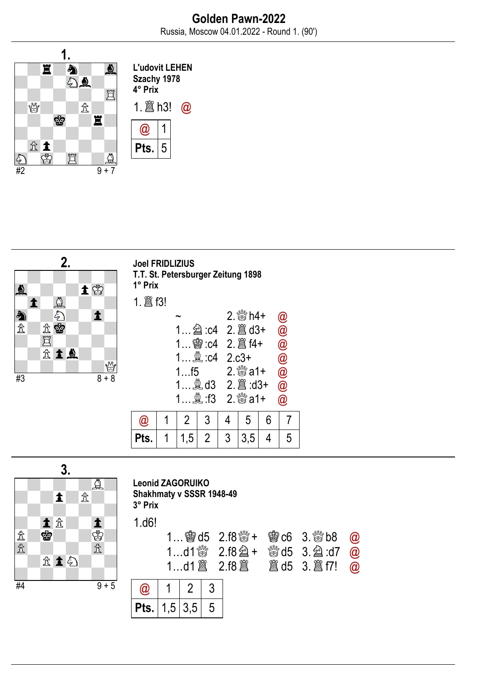





Leonid ZAGORUIKO Shakhmaty v SSSR 1948-49 3° Prix 1.d6!  $1$  @@ad5 2.f9 $\partial^{\text{th}}$  2.  $\partial^{\text{th}}$  2.separation  $\Omega$ 

| 1d1 $3 \times 2.18 \times 10^{-10}$ and 1 $\frac{1}{20}$ and 1 $\frac{1}{20}$ and 1 $\frac{1}{20}$ and 1 $\frac{1}{20}$ and 1 $\frac{1}{20}$ and 1 $\frac{1}{20}$ and 1 $\frac{1}{20}$ and 1 $\frac{1}{20}$ and 1 $\frac{1}{20}$ and 1 $\frac{1}{20}$ and 1 $\frac{1}{20}$ and 1 | $1$ Me $10$ $2.10$ Me $\pm$ Me $10$ $0.00$ $0.00$ |  |  |
|----------------------------------------------------------------------------------------------------------------------------------------------------------------------------------------------------------------------------------------------------------------------------------|---------------------------------------------------|--|--|
|                                                                                                                                                                                                                                                                                  |                                                   |  |  |
|                                                                                                                                                                                                                                                                                  |                                                   |  |  |

| $\mathbf{o}_{\mathbf{r}}$<br>IS. | .5 <sub>1</sub> | 3,5 | Э |
|----------------------------------|-----------------|-----|---|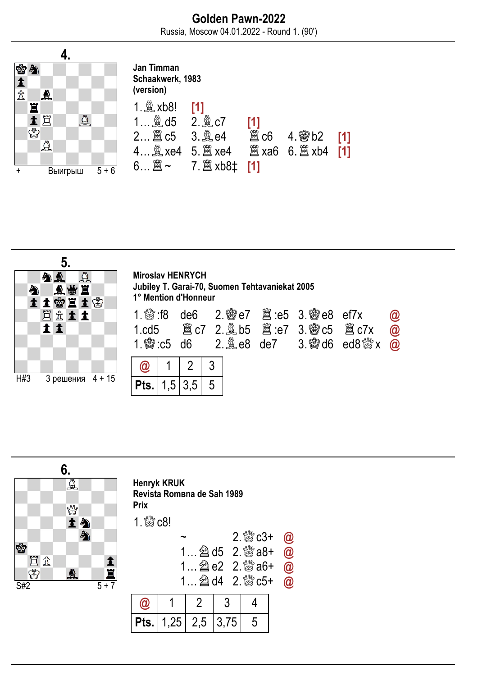



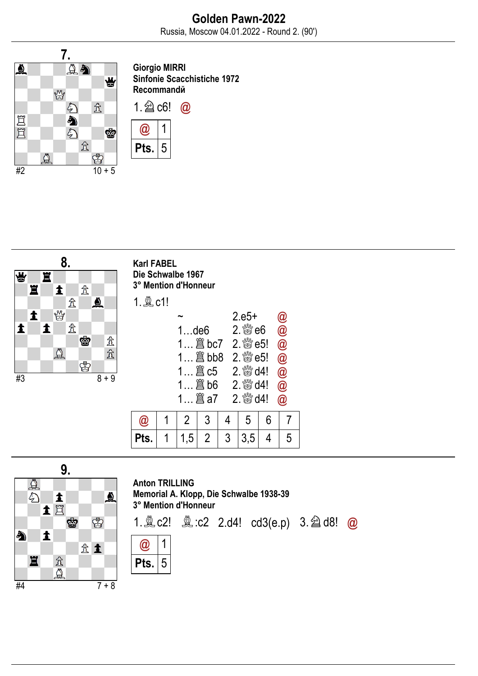

Giorgio MIRRI Sinfonie Scacchistiche 1972 Recommandй